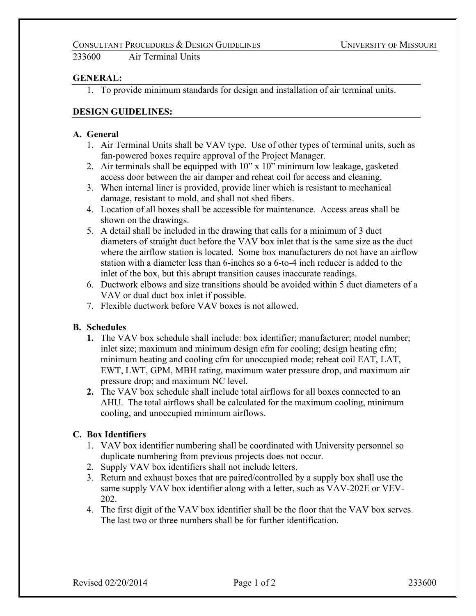233600 Air Terminal Units

## **GENERAL:**

1. To provide minimum standards for design and installation of air terminal units.

## **DESIGN GUIDELINES:**

#### **A. General**

- 1. Air Terminal Units shall be VAV type. Use of other types of terminal units, such as fan-powered boxes require approval of the Project Manager.
- 2. Air terminals shall be equipped with 10" x 10" minimum low leakage, gasketed access door between the air damper and reheat coil for access and cleaning.
- 3. When internal liner is provided, provide liner which is resistant to mechanical damage, resistant to mold, and shall not shed fibers.
- 4. Location of all boxes shall be accessible for maintenance. Access areas shall be shown on the drawings.
- 5. A detail shall be included in the drawing that calls for a minimum of 3 duct diameters of straight duct before the VAV box inlet that is the same size as the duct where the airflow station is located. Some box manufacturers do not have an airflow station with a diameter less than 6-inches so a 6-to-4 inch reducer is added to the inlet of the box, but this abrupt transition causes inaccurate readings.
- 6. Ductwork elbows and size transitions should be avoided within 5 duct diameters of a VAV or dual duct box inlet if possible.
- 7. Flexible ductwork before VAV boxes is not allowed.

## **B. Schedules**

- **1.** The VAV box schedule shall include: box identifier; manufacturer; model number; inlet size; maximum and minimum design cfm for cooling; design heating cfm; minimum heating and cooling cfm for unoccupied mode; reheat coil EAT, LAT, EWT, LWT, GPM, MBH rating, maximum water pressure drop, and maximum air pressure drop; and maximum NC level.
- **2.** The VAV box schedule shall include total airflows for all boxes connected to an AHU. The total airflows shall be calculated for the maximum cooling, minimum cooling, and unoccupied minimum airflows.

## **C. Box Identifiers**

- 1. VAV box identifier numbering shall be coordinated with University personnel so duplicate numbering from previous projects does not occur.
- 2. Supply VAV box identifiers shall not include letters.
- 3. Return and exhaust boxes that are paired/controlled by a supply box shall use the same supply VAV box identifier along with a letter, such as VAV-202E or VEV-202.
- 4. The first digit of the VAV box identifier shall be the floor that the VAV box serves. The last two or three numbers shall be for further identification.